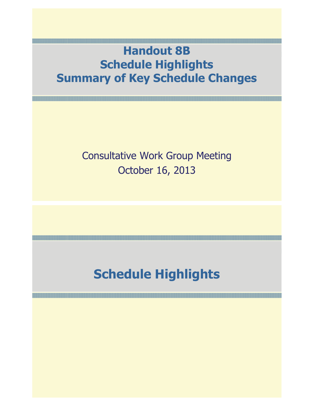### **Handout 8B Schedule Highlights Summary of Key Schedule Changes**

#### Consultative Work Group Meeting October 16, 2013

## **Schedule Highlights**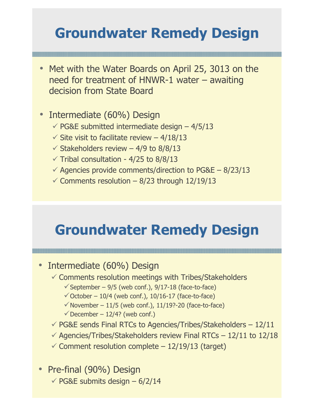## **Groundwater Remedy Design**

- Met with the Water Boards on April 25, 3013 on the need for treatment of HNWR-1 water – awaiting decision from State Board
- • Intermediate (60%) Design
	- $\checkmark$  PG&E submitted intermediate design 4/5/13
	- $\checkmark$  Site visit to facilitate review 4/18/13
	- $\checkmark$  Stakeholders review 4/9 to 8/8/13
	- $\checkmark$  Tribal consultation 4/25 to 8/8/13
	- $\checkmark$  Agencies provide comments/direction to PG&E 8/23/13
	- $\checkmark$  Comments resolution 8/23 through 12/19/13

### **Groundwater Remedy Design**

- Intermediate (60%) Design
	- $\checkmark$  Comments resolution meetings with Tribes/Stakeholders
		- $\checkmark$  September 9/5 (web conf.), 9/17-18 (face-to-face)
		- $\checkmark$  October 10/4 (web conf.), 10/16-17 (face-to-face)
		- $\checkmark$  November 11/5 (web conf.), 11/19?-20 (face-to-face)
		- $\checkmark$  December 12/4? (web conf.)
	- $\sqrt{P}$  PG&E sends Final RTCs to Agencies/Tribes/Stakeholders 12/11
	- $\checkmark$  Agencies/Tribes/Stakeholders review Final RTCs 12/11 to 12/18
	- $\checkmark$  Comment resolution complete 12/19/13 (target)
- Pre-final (90%) Design  $\checkmark$  PG&E submits design – 6/2/14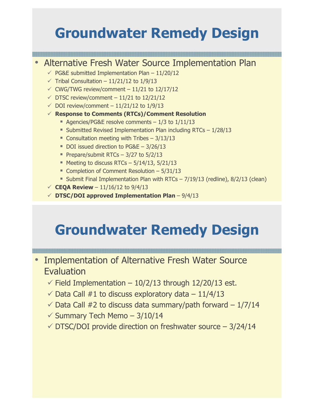## **Groundwater Remedy Design**

#### •Alternative Fresh Water Source Implementation Plan

- $\checkmark$  PG&E submitted Implementation Plan 11/20/12
- $\checkmark$  Tribal Consultation 11/21/12 to 1/9/13
- $\checkmark$  CWG/TWG review/comment 11/21 to 12/17/12
- $\checkmark$  DTSC review/comment 11/21 to 12/21/12
- $\checkmark$  DOI review/comment 11/21/12 to 1/9/13
- **Response to Comments (RTCs)/Comment Resolution**
	- Agencies/PG&E resolve comments  $-1/3$  to  $1/11/13$
	- Submitted Revised Implementation Plan including RTCs 1/28/13
	- Consultation meeting with Tribes  $-3/13/13$
	- DOI issued direction to PG&E 3/26/13
	- Prepare/submit RTCs  $-$  3/27 to 5/2/13
	- $\blacksquare$  Meeting to discuss RTCs 5/14/13, 5/21/13
	- Completion of Comment Resolution 5/31/13
	- **Submit Final Implementation Plan with RTCs 7/19/13 (redline), 8/2/13 (clean)**
- $\checkmark$  **CEQA Review** 11/16/12 to 9/4/13
- **DTSC/DOI approved Implementation Plan**  9/4/13

## **Groundwater Remedy Design**

- Implementation of Alternative Fresh Water Source **Evaluation** 
	- $\checkmark$  Field Implementation 10/2/13 through 12/20/13 est.
	- $\checkmark$  Data Call #1 to discuss exploratory data  $-11/4/13$
	- $\checkmark$  Data Call #2 to discuss data summary/path forward 1/7/14
	- $\checkmark$  Summary Tech Memo 3/10/14
	- $\sqrt{\text{DTSC}}$ DOI provide direction on freshwater source  $-3/24/14$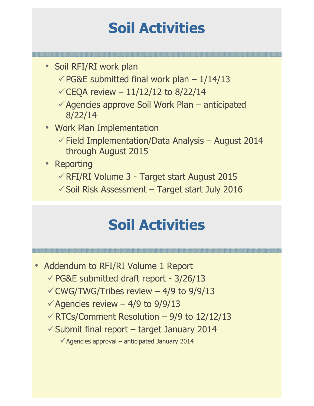# **Soil Activities**

- Soil RFI/RI work plan
	- $\checkmark$  PG&E submitted final work plan 1/14/13
	- $\checkmark$  CEQA review 11/12/12 to 8/22/14
	- -Agencies approve Soil Work Plan anticipated 8/22/14
- Work Plan Implementation
	- $\checkmark$  Field Implementation/Data Analysis August 2014 through August 2015
- Reporting
	- -RFI/RI Volume 3 Target start August 2015
	- $\checkmark$  Soil Risk Assessment Target start July 2016

## **Soil Activities**

- • Addendum to RFI/RI Volume 1 Report
	- -PG&E submitted draft report 3/26/13
	- $\checkmark$  CWG/TWG/Tribes review 4/9 to 9/9/13
	- $\checkmark$  Agencies review 4/9 to 9/9/13
	- $\checkmark$  RTCs/Comment Resolution 9/9 to 12/12/13
	- $\checkmark$  Submit final report target January 2014

 $\checkmark$  Agencies approval – anticipated January 2014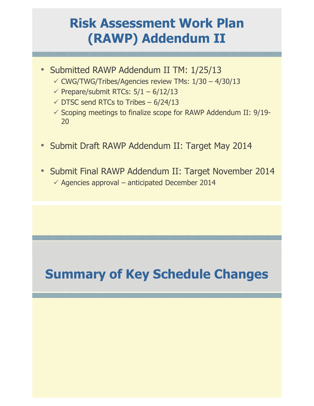### **Risk Assessment Work Plan (RAWP) Addendum II**

- Submitted RAWP Addendum II TM: 1/25/13
	- $\checkmark$  CWG/TWG/Tribes/Agencies review TMs:  $1/30 4/30/13$
	- $\checkmark$  Prepare/submit RTCs: 5/1 6/12/13
	- $\checkmark$  DTSC send RTCs to Tribes 6/24/13
	- $\checkmark$  Scoping meetings to finalize scope for RAWP Addendum II: 9/19-20
- •Submit Draft RAWP Addendum II: Target May 2014
- • Submit Final RAWP Addendum II: Target November 2014  $\checkmark$  Agencies approval – anticipated December 2014

# **Summary of Key Schedule Changes**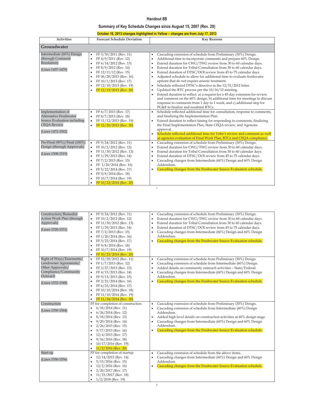#### **Handout 8B**

#### **Summary of Key Schedule Changes since August 15, 2007 (Rev. 20)**

| October 16, 2013 changes highlighted in Yellow - changes are from July 17, 2013 |
|---------------------------------------------------------------------------------|
|---------------------------------------------------------------------------------|

| <b>Activities</b>                                                                                                     | <b>Forecast Schedule Deviation</b>                                                                                                                                                                                                                                                                                                                                                         | <b>Key Reasons</b>                                                                                                                                                                                                                                                                                                                                                                                                                                                                                                                                                                                                                                                                                                                                                                                                                                                                                                                                                               |
|-----------------------------------------------------------------------------------------------------------------------|--------------------------------------------------------------------------------------------------------------------------------------------------------------------------------------------------------------------------------------------------------------------------------------------------------------------------------------------------------------------------------------------|----------------------------------------------------------------------------------------------------------------------------------------------------------------------------------------------------------------------------------------------------------------------------------------------------------------------------------------------------------------------------------------------------------------------------------------------------------------------------------------------------------------------------------------------------------------------------------------------------------------------------------------------------------------------------------------------------------------------------------------------------------------------------------------------------------------------------------------------------------------------------------------------------------------------------------------------------------------------------------|
| Groundwater                                                                                                           |                                                                                                                                                                                                                                                                                                                                                                                            |                                                                                                                                                                                                                                                                                                                                                                                                                                                                                                                                                                                                                                                                                                                                                                                                                                                                                                                                                                                  |
| Intermediate (60%) Design<br>(through Comment<br>Resolution)<br>(Lines 1457-1470)                                     | FF 3/30/2011 (Rev. 11)<br>$\bullet$<br>FF 4/9/2011 (Rev. 12)<br>$\bullet$<br>FF 6/14/2012 (Rev. 13)<br>$\bullet$<br>FF 8/9/2012 (Rev. 14)<br>$\bullet$<br>FF 12/11/12 (Rev. 15)<br>$\bullet$<br>FF 06/28/2013 (Rev. 16)<br>$\bullet$<br>FF 10/1/2013 (Rev. 17)<br>$\bullet$<br>FF 12/18/2013 (Rev. 19)<br>$\bullet$<br>FF 12/19/2013 (Rev. 20)<br>$\bullet$                                | Cascading extension of schedule from Preliminary (30%) Design.<br>$\bullet$<br>Additional time to incorporate comments and prepare 60% Design.<br>٠<br>Extend duration for CWG/TWG review from 30 to 60 calendar days.<br>٠<br>Extend duration for Tribal Consultation from 30 to 60 calendar days.<br>$\bullet$<br>Extend duration of DTSC/DOI review from 45 to 75 calendar days.<br>$\bullet$<br>Adjusted schedule to allow for additional time to evaluate freshwater<br>$\bullet$<br>options that do not require arsenic treatment.<br>Schedule reflected DTSC's directive in the 12/31/2012 letter.<br>$\bullet$<br>Updated the RTC process per the 10/16/12 meeting.<br>$\bullet$<br>Extend duration to reflect: a) a request for a 45-day extension for review<br>$\bullet$<br>and comment on the 60% design, b) additional time for meetings to discuss<br>response to comments from 1 day to 1 week, and c) additional step for<br>PG&E to finalize and resubmit RTCs. |
| Implementation of<br>Alternative Freshwater<br>Source Evaluation including<br><b>CEOA Review</b><br>(Lines 1472-1502) | FF 6/7/2013 (Rev. 17)<br>$\bullet$<br>FF 8/7/2013 (Rev. 18)<br>$\bullet$<br>FF 11/12/2013 (Rev. 19)<br>$\bullet$<br>FF 12/20/2013 (Rev. 20)<br>$\bullet$                                                                                                                                                                                                                                   | Schedule reflected additional time for consultation, response to comments,<br>$\bullet$<br>and finalizing the Implementation Plan.<br>Extend duration to reflect timing for responding to comments, finalizing<br>the Final Implementation Plan, State CEQA review, and Agencies<br>approval.<br>Schedule reflected additional time for Tribe's review and comment as well<br>$\bullet$<br>as agencies evaluation of Final Work Plan, RTCs and CEQA compliance.                                                                                                                                                                                                                                                                                                                                                                                                                                                                                                                  |
| Pre-Final (90%)/Final (100%)<br>Design (through Approvals)<br>(Lines 1508-1519)                                       | FF 9/24/2012 (Rev. 11)<br>$\bullet$<br>FF 10/2/2012 (Rev. 12)<br>$\bullet$<br>FF 11/30/2012 (Rev. 13)<br>$\bullet$<br>FF 1/29/2013 (Rev. 14)<br>$\bullet$<br>FF 7/2/2013 (Rev. 15)<br>$\bullet$<br>FF 1/20/2014 (Rev. 16)<br>$\bullet$<br>FF 5/22/2014 (Rev. 17)<br>$\bullet$<br>FF 9/8/2014 (Rev. 18)<br>$\bullet$<br>FF 10/7/2014 (Rev. 19)<br>$\bullet$<br>FF 10/23/2014 (Rev. 20)<br>٠ | Cascading extension of schedule from Preliminary (30%) Design.<br>$\bullet$<br>Extend duration for CWG/TWG review from 30 to 60 calendar days.<br>$\bullet$<br>Extend duration for Tribal Consultation from 30 to 60 calendar days.<br>$\bullet$<br>Extend duration of DTSC/DOI review from 45 to 75 calendar days.<br>$\bullet$<br>Cascading changes from Intermediate (60%) Design and 60% Design<br>$\bullet$<br>Addendum.<br>Cascading changes from the Freshwater Source Evaluation schedule.<br>$\bullet$<br>$\overline{1}$                                                                                                                                                                                                                                                                                                                                                                                                                                                |

| Construction/Remedial<br>Action Work Plan (through<br>Approvals)<br>(Lines 1520-1531)                                          | FF 9/24/2012 (Rev. 11)<br>$\bullet$<br>FF 10/2/2012 (Rev. 12)<br>$\bullet$<br>FF 11/30/2012 (Rev. 13)<br>$\bullet$<br>FF 1/29/2013 (Rev. 14)<br>$\bullet$<br>FF 7/2/2013 (Rev. 15)<br>$\bullet$<br>FF 1/20/2014 (Rev. 16)<br>$\bullet$<br>FF 5/22/2014 (Rev. 17)<br>$\bullet$<br>FF 9/8/2014 (Rev. 18)<br>$\bullet$<br>FF 10/7/2014 (Rev. 19)<br>$\bullet$<br>FF 10/23/2014 (Rev. 20)<br>$\bullet$            | Cascading extension of schedule from Preliminary (30%) Design.<br>٠<br>Extend duration for CWG/TWG review from 30 to 60 calendar days.<br>٠<br>Extend duration for Tribal Consultation from 30 to 60 calendar days.<br>$\bullet$<br>Extend duration of DTSC/DOI review from 45 to 75 calendar days.<br>$\bullet$<br>Cascading changes from Intermediate (60%) Design and 60% Design<br>٠<br>Addendum.<br>Cascading changes from the Freshwater Source Evaluation schedule.<br>٠ |
|--------------------------------------------------------------------------------------------------------------------------------|---------------------------------------------------------------------------------------------------------------------------------------------------------------------------------------------------------------------------------------------------------------------------------------------------------------------------------------------------------------------------------------------------------------|---------------------------------------------------------------------------------------------------------------------------------------------------------------------------------------------------------------------------------------------------------------------------------------------------------------------------------------------------------------------------------------------------------------------------------------------------------------------------------|
| Right of Ways/Easements/<br>Landowner Agreements/<br>Other Approvals/<br>Compliance/Community<br>Outreach<br>(Lines 1532-1548) | FF 12/28/2012 (Rev. 11)<br>$\bullet$<br>FF 1/7/2013 (Rev. 12)<br>$\bullet$<br>FF 2/27/2013 (Rev. 13)<br>FF 4/15/2013 (Rev. 14)<br>$\bullet$<br>FF 9/13/2013 (Rev. 15)<br>$\bullet$<br>FF 2/21/2014 (Rev. 16)<br>$\bullet$<br>FF 6/23/2014 (Rev. 17)<br>٠<br>FF 10/10/2014 (Rev. 18)<br>$\bullet$<br>FF 11/10/2014 (Rev. 19)<br>$\bullet$<br>FF 11/24/2014 (Rev. 20)<br>$\bullet$                              | Cascading extension of schedule from Preliminary (30%) Design.<br>٠<br>Cascading extension of schedule from Intermediate (60%) Design.<br>٠<br>Added details on community outreach activities - State/Federal.<br>٠<br>Cascading changes from Intermediate (60%) Design and 60% Design<br>٠<br>Addendum.<br>Cascading changes from the Freshwater Source Evaluation schedule.<br>٠                                                                                              |
| Construction<br>(Lines 1550-1564)                                                                                              | FF for completion of construction<br>$6/18/2014$ (Rev. 11)<br>$\bullet$<br>$6/26/2014$ (Rev. 12)<br>$\bullet$<br>8/18/2014 (Rev. 13)<br>$\bullet$<br>$9/29/2014$ (Rev. 14)<br>$\bullet$<br>$2/26/2015$ (Rev. 15)<br>$\bullet$<br>$9/17/2015$ (Rev. 16)<br>$12/4/2015$ (Rev. 17)<br>$\bullet$<br>$9/16/2016$ (Rev. 18)<br>$\bullet$<br>10/17/2016 (Rev. 19)<br>$\bullet$<br>$11/2/2016$ (Rev. 20)<br>$\bullet$ | Cascading extension of schedule from Preliminary (30%) Design.<br>٠<br>Cascading extension of schedule from Intermediate (60%) Design<br>٠<br>Addendum.<br>Added high level details on construction activities at 60% design stage.<br>٠<br>Cascading changes from Intermediate (60%) Design and 60% Design<br>Addendum.<br>Cascading changes from the Freshwater Source Evaluation schedule.<br>٠                                                                              |
| Start-up<br>(Lines 1550-1556)                                                                                                  | FF for completion of startup<br>12/14/2015 (Rev. 14)<br>$\bullet$<br>$5/13/2016$ (Rev. 15)<br>$\bullet$<br>$12/2/2016$ (Rev. 16)<br>$\bullet$<br>2/20/2017 (Rev. 17)<br>$\bullet$<br>11/23/2017 (Rev. 18)<br>$\bullet$<br>$1/2/2018$ (Rev. 19)<br>٠                                                                                                                                                           | Cascading extension of schedule from the above items.<br>٠<br>Cascading changes from Intermediate (60%) Design and 60% Design<br>٠<br>Addendum.<br>Cascading changes from the Freshwater Source Evaluation schedule.                                                                                                                                                                                                                                                            |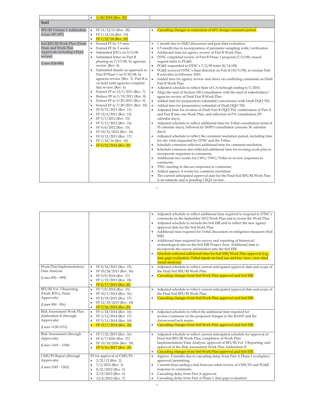|                               | $\bullet$              | $1/18/2018$ (Rev. 20)                                                  |           |                                                                                                   |
|-------------------------------|------------------------|------------------------------------------------------------------------|-----------|---------------------------------------------------------------------------------------------------|
| Soil                          |                        |                                                                        |           |                                                                                                   |
| RFI/RI Volume 1 Addendum      | $\bullet$              | FF 11/12/13 (Rev. 18)                                                  |           | Cascading changes to extensions of 60% design comment period.                                     |
| (Lines 287-307)               | $\bullet$              | FF 1/14/14 (Rev. 19)                                                   |           |                                                                                                   |
| Soil RFI/RI Work Plan (Draft, | $\bullet$<br>$\bullet$ | FF 1/23/14 (Rev. 20)<br>Extend FF by 1.5 mos.                          |           | 1 month due to DQO discussion and past data evaluation.                                           |
| Final, and Work Plan          | $\bullet$              | Extend FF by 2 weeks                                                   |           | 0.5 month due to incorporation of perimeter sampling walk/verification.                           |
| Approvals including CEQA      | $\bullet$              | Submitted RTCs on 5/5/08                                               |           | Additional time for agency review of Part B Work Plan.                                            |
| review)                       | $\bullet$              | Submitted letter on Part B                                             |           | DTSC completed review of Part B Phase 1 proposal (7/2/09), issued                                 |
| (Lines 824-884)               |                        | phasing on 7/17/08. In agencies                                        |           | request letter to PG&E.                                                                           |
|                               |                        | review (Rev. 4)                                                        |           | PG&E responded to DTSC's 7/2/09 letter (8/14/09).                                                 |
|                               | $\bullet$              | Submitted details on approach to                                       |           | PG&E received DTSC's final direction on Part B (10/5/09), to resume Part                          |
|                               |                        | Part B Phase 1 on 9/30/08. In                                          |           | B activities in February 2010.                                                                    |
|                               |                        | agencies review (Rev. 5). Part B is<br>on hold until agencies complete | $\bullet$ | Added time for agency review and direct on conflicting comments on Draft<br>Part B Work Plan.     |
|                               |                        | this review (Rev. 6)                                                   |           | Adjusted schedule to reflect State of CA furlough ending 6/1/2010.                                |
|                               | $\bullet$              | Extend FF to 12/1/2011 (Rev. 7)                                        |           | Align the start of Section 106 Consultation with the start of stakeholders/                       |
|                               | $\bullet$              | Reduce FF to 1/19/2011 (Rev. 8)                                        |           | agencies review of Final Part B Work Plan.                                                        |
|                               | $\bullet$              | Extend FF to 5/25/2011 (Rev. 9)                                        |           | Added time for preparation/submittal/concurrence with Draft DQO TM.                               |
|                               | $\bullet$              | Extend FF to 7/28/2011 (Rev. 10)                                       |           | Added time for preparation/submittal of Draft DQO TM.                                             |
|                               | $\bullet$              | FF 8/31/2011 (Rev. 11)                                                 |           | Adjusted time for revision of Draft Part B DQO TM, combination of Part A                          |
|                               | ٠                      | FF 12/6/2011 (Rev. 12)<br>FF 3/1/2012 (Rev. 13)                        |           | and Part B into one Work Plan, and reflection of PA consultation (55                              |
|                               | $\bullet$<br>$\bullet$ | FF 5/11/2012 (Rev. 14)                                                 |           | calendar days).<br>Adjusted schedule to reflect additional time for Tribal consultation (total of |
|                               | ٠                      | FF 9/6/2012 (Rev. 15)                                                  |           | 55 calendar days), followed by SHPO consultation (assume 30 calendar                              |
|                               | $\bullet$              | FF 10/31/2012 (Rev. 16)                                                |           | days).                                                                                            |
|                               | $\bullet$              | FF 9/13/2013 (Rev. 17)                                                 |           | Adjusted schedule to reflect the comment resolution period, including time                        |
|                               | ٠                      | FF 1/24/14 (Rev. 18)                                                   |           | for site visits requested by DTSC and the Tribes.                                                 |
|                               | ٠                      | FF 8/22/2014 (Rev.20)                                                  |           | Schedule extension reflected additional time for comment resolution.                              |
|                               |                        |                                                                        |           | Schedule extension also reflected additional time for revising work plan to                       |
|                               |                        |                                                                        |           | incorporate responses to comments.                                                                |
|                               |                        |                                                                        |           | Additional two weeks for CWG/TWG/Tribes to review responses to<br>comments.                       |
|                               |                        |                                                                        |           | TWG meeting to discuss responses to comments.                                                     |
|                               |                        |                                                                        |           | Added approx. 4 weeks for comment resolution.                                                     |
|                               |                        |                                                                        |           | The current anticipated approval date for the Final Soil RFI/RI Work Plan                         |
|                               |                        |                                                                        |           | is an estimate and is pending CEQA review.                                                        |

3

|                                    |                                                              | Adjusted schedule to reflect additional time required to respond to DTSC's<br>comments on the September 2012 Work Plan and to revise the Work Plan.<br>Adjusted schedule to include the Soil EIR and to reflect the new agency<br>approval date for the Soil Work Plan.<br>Additional time required for Tribal discussion on mitigation measures (Soil<br>EIR).<br>Additional time required for survey and reporting of historical/<br>archaeological sites in the Soil EIR Project Area. Additional time to<br>incorporate the survey information into the Soil EIR.<br>Schedule reflected additional time for Soil EIR/Work Plan approval (e.g.,<br>data gaps evaluation, Tribal inputs on land use and key view, view shed |
|------------------------------------|--------------------------------------------------------------|-------------------------------------------------------------------------------------------------------------------------------------------------------------------------------------------------------------------------------------------------------------------------------------------------------------------------------------------------------------------------------------------------------------------------------------------------------------------------------------------------------------------------------------------------------------------------------------------------------------------------------------------------------------------------------------------------------------------------------|
|                                    |                                                              | visual analysis).                                                                                                                                                                                                                                                                                                                                                                                                                                                                                                                                                                                                                                                                                                             |
| Work Plan Implementation/          | FF 8/16/2013 (Rev. 15)<br>$\bullet$                          | Adjusted schedule to reflect current anticipated approval date and scope of<br>$\bullet$                                                                                                                                                                                                                                                                                                                                                                                                                                                                                                                                                                                                                                      |
| Data Analysis                      | FF 10/24/2013 (Rev. 16)                                      | the Final Soil RFI/RI Work Plan.                                                                                                                                                                                                                                                                                                                                                                                                                                                                                                                                                                                                                                                                                              |
| (Lines 892 - 899)                  | FF 9/8/2014 (Rev. 17)                                        | Cascading changes from Soil Work Plan approval and Soil EIR.                                                                                                                                                                                                                                                                                                                                                                                                                                                                                                                                                                                                                                                                  |
|                                    | FF 1/19/2015 (Rev. 18)<br>FF 8/17/2015 (Rev.20)<br>$\bullet$ |                                                                                                                                                                                                                                                                                                                                                                                                                                                                                                                                                                                                                                                                                                                               |
| RFI/RI Vol. 3 Reporting            | FF 7/8/2014 (Rev. 15)<br>$\bullet$                           | Adjusted schedule to reflect current anticipated approval date and scope of<br>٠                                                                                                                                                                                                                                                                                                                                                                                                                                                                                                                                                                                                                                              |
| (Draft, RTCs, Final,               | FF 10/1/2014 (Rev. 16)<br>٠                                  | the Final Soil RFI/RI Work Plan.                                                                                                                                                                                                                                                                                                                                                                                                                                                                                                                                                                                                                                                                                              |
| Approvals)                         | FF 8/18/2015 (Rev. 17)<br>٠                                  | Cascading changes from Soil Work Plan approval and Soil EIR.                                                                                                                                                                                                                                                                                                                                                                                                                                                                                                                                                                                                                                                                  |
| (Lines 900 - 916)                  | FF 12/29/2015 (Rev. 18)<br>٠                                 |                                                                                                                                                                                                                                                                                                                                                                                                                                                                                                                                                                                                                                                                                                                               |
|                                    | FF 7/26/2016 (Rev.20)<br>$\bullet$                           |                                                                                                                                                                                                                                                                                                                                                                                                                                                                                                                                                                                                                                                                                                                               |
| Risk Assessment Work Plan          | FF 1/24/2014 (Rev. 16)<br>$\bullet$                          | Adjusted schedule to reflect the additional time required for<br>٠                                                                                                                                                                                                                                                                                                                                                                                                                                                                                                                                                                                                                                                            |
| Addendum II (through<br>Approvals) | FF 3/12/2014 (Rev. 17)                                       | review/comment on the proposed changes to the RAWP and the<br>Arrowweed tech memo.                                                                                                                                                                                                                                                                                                                                                                                                                                                                                                                                                                                                                                            |
|                                    | FF 5/11/2014 (Rev. 18)<br>FF 12/7/2014 (Rev. 20)             | Cascading changes from Soil Work Plan approval and Soil EIR.                                                                                                                                                                                                                                                                                                                                                                                                                                                                                                                                                                                                                                                                  |
| (Lines 1128-1151)                  |                                                              |                                                                                                                                                                                                                                                                                                                                                                                                                                                                                                                                                                                                                                                                                                                               |
| Risk Assessment (through           | FF 7/22/2015 (Rev. 16)<br>$\bullet$                          | Adjusted schedule to reflect current anticipated schedule for approval of<br>٠                                                                                                                                                                                                                                                                                                                                                                                                                                                                                                                                                                                                                                                |
| Approvals)                         | FF 6/7/2016 (Rev. 17)                                        | Final Soil RFI/RI Work Plan, completion of Work Plan                                                                                                                                                                                                                                                                                                                                                                                                                                                                                                                                                                                                                                                                          |
| (Lines 1169 - 1184)                | FF 10/18/2016 (Rev. 18)<br>٠                                 | Implementation/Data Analysis, approval of RFI/RI Vol. 3 Reporting, and                                                                                                                                                                                                                                                                                                                                                                                                                                                                                                                                                                                                                                                        |
|                                    | FF 5/16/2017 (Rev. 20)                                       | approval of the Risk Assessment Work Plan Addendum II.<br>Cascading changes from Soil Work Plan approval and Soil EIR.                                                                                                                                                                                                                                                                                                                                                                                                                                                                                                                                                                                                        |
| CMS/FS Report (through             | FF for approval of CMS/FS                                    | Approx. 2 months due to cascading delay from Part A Phase 1 workplan/<br>٠                                                                                                                                                                                                                                                                                                                                                                                                                                                                                                                                                                                                                                                    |
| Approvals)                         | $2/21/12$ (Rev. 2)<br>$\bullet$                              | approval/permitting.                                                                                                                                                                                                                                                                                                                                                                                                                                                                                                                                                                                                                                                                                                          |
|                                    | $7/3/2012$ (Rev. 3)                                          | 1 month from adding a link between tribal review of CMS/FS and PG&E                                                                                                                                                                                                                                                                                                                                                                                                                                                                                                                                                                                                                                                           |
| (Lines 1245 - 1262)                | $8/21/2012$ (Rev. 5)<br>٠                                    | response to comments.                                                                                                                                                                                                                                                                                                                                                                                                                                                                                                                                                                                                                                                                                                         |
|                                    | $2/15/2013$ (Rev. 6)                                         | Cascading delay from Part A approval.                                                                                                                                                                                                                                                                                                                                                                                                                                                                                                                                                                                                                                                                                         |
|                                    | $12/4/2013$ (Rev. 7)<br>٠                                    | Cascading delay from Part A Phase 1 data gaps evaluation.                                                                                                                                                                                                                                                                                                                                                                                                                                                                                                                                                                                                                                                                     |